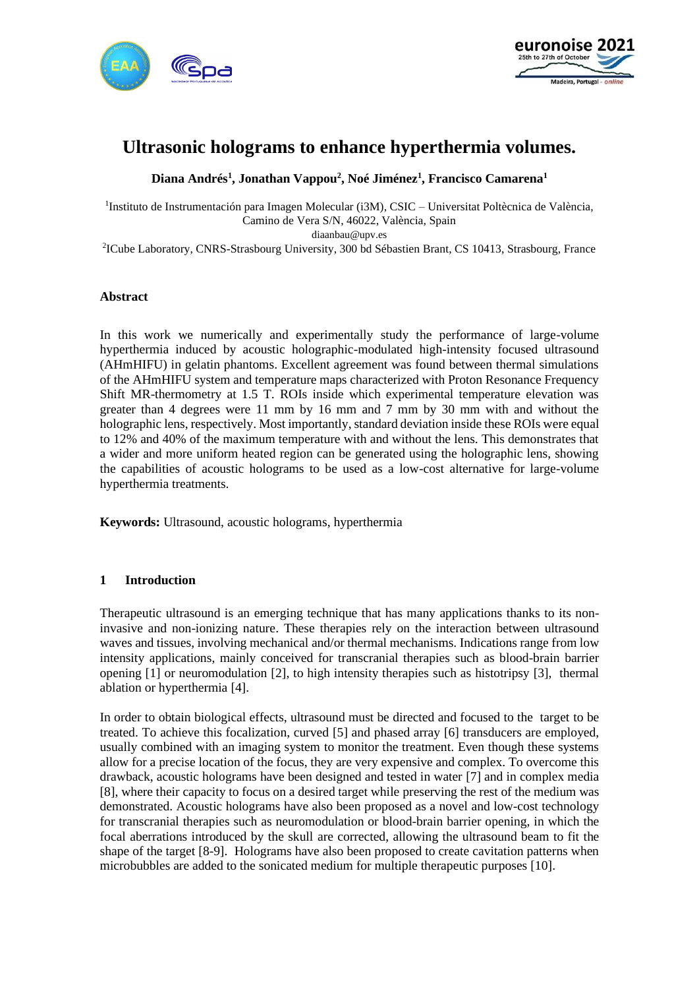



# **Ultrasonic holograms to enhance hyperthermia volumes.**

**Diana Andrés<sup>1</sup> , Jonathan Vappou<sup>2</sup> , Noé Jiménez<sup>1</sup> , Francisco Camarena<sup>1</sup>**

<sup>1</sup>Instituto de Instrumentación para Imagen Molecular (i3M), CSIC – Universitat Poltècnica de València, Camino de Vera S/N, 46022, València, Spain diaanbau@upv.es 2 ICube Laboratory, CNRS-Strasbourg University, 300 bd Sébastien Brant, CS 10413, Strasbourg, France

#### **Abstract**

In this work we numerically and experimentally study the performance of large-volume hyperthermia induced by acoustic holographic-modulated high-intensity focused ultrasound (AHmHIFU) in gelatin phantoms. Excellent agreement was found between thermal simulations of the AHmHIFU system and temperature maps characterized with Proton Resonance Frequency Shift MR-thermometry at 1.5 T. ROIs inside which experimental temperature elevation was greater than 4 degrees were 11 mm by 16 mm and 7 mm by 30 mm with and without the holographic lens, respectively. Most importantly, standard deviation inside these ROIs were equal to 12% and 40% of the maximum temperature with and without the lens. This demonstrates that a wider and more uniform heated region can be generated using the holographic lens, showing the capabilities of acoustic holograms to be used as a low-cost alternative for large-volume hyperthermia treatments.

**Keywords:** Ultrasound, acoustic holograms, hyperthermia

#### **1 Introduction**

Therapeutic ultrasound is an emerging technique that has many applications thanks to its noninvasive and non-ionizing nature. These therapies rely on the interaction between ultrasound waves and tissues, involving mechanical and/or thermal mechanisms. Indications range from low intensity applications, mainly conceived for transcranial therapies such as blood-brain barrier opening [1] or neuromodulation [2], to high intensity therapies such as histotripsy [3], thermal ablation or hyperthermia [4].

In order to obtain biological effects, ultrasound must be directed and focused to the target to be treated. To achieve this focalization, curved [5] and phased array [6] transducers are employed, usually combined with an imaging system to monitor the treatment. Even though these systems allow for a precise location of the focus, they are very expensive and complex. To overcome this drawback, acoustic holograms have been designed and tested in water [7] and in complex media [8], where their capacity to focus on a desired target while preserving the rest of the medium was demonstrated. Acoustic holograms have also been proposed as a novel and low-cost technology for transcranial therapies such as neuromodulation or blood-brain barrier opening, in which the focal aberrations introduced by the skull are corrected, allowing the ultrasound beam to fit the shape of the target [8-9]. Holograms have also been proposed to create cavitation patterns when microbubbles are added to the sonicated medium for multiple therapeutic purposes [10].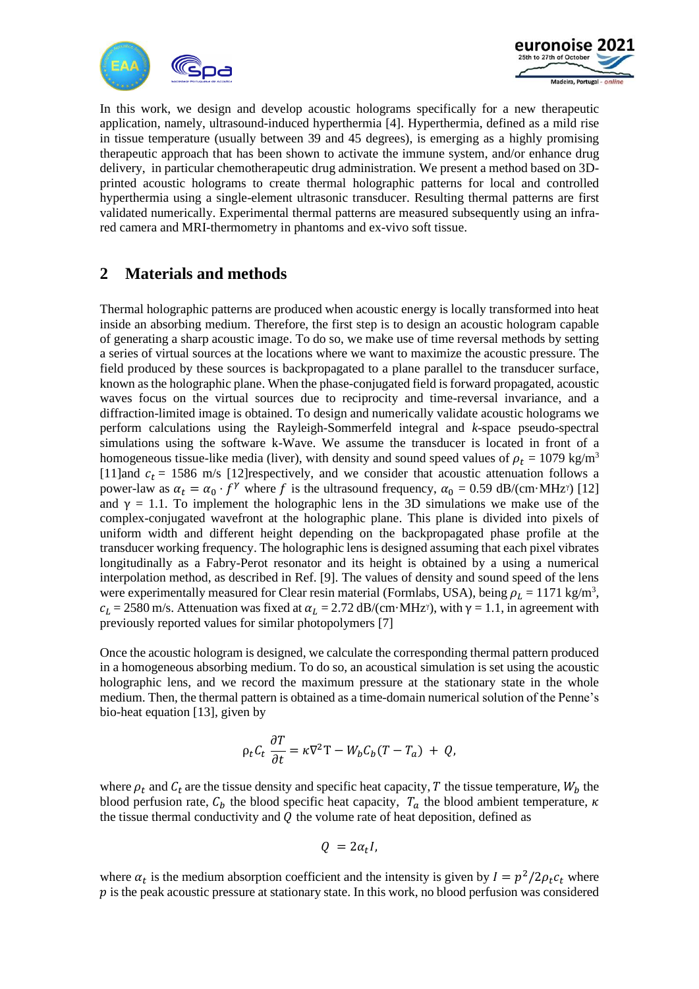



In this work, we design and develop acoustic holograms specifically for a new therapeutic application, namely, ultrasound-induced hyperthermia [4]. Hyperthermia, defined as a mild rise in tissue temperature (usually between 39 and 45 degrees), is emerging as a highly promising therapeutic approach that has been shown to activate the immune system, and/or enhance drug delivery, in particular chemotherapeutic drug administration. We present a method based on 3Dprinted acoustic holograms to create thermal holographic patterns for local and controlled hyperthermia using a single-element ultrasonic transducer. Resulting thermal patterns are first validated numerically. Experimental thermal patterns are measured subsequently using an infrared camera and MRI-thermometry in phantoms and ex-vivo soft tissue.

## **2 Materials and methods**

Thermal holographic patterns are produced when acoustic energy is locally transformed into heat inside an absorbing medium. Therefore, the first step is to design an acoustic hologram capable of generating a sharp acoustic image. To do so, we make use of time reversal methods by setting a series of virtual sources at the locations where we want to maximize the acoustic pressure. The field produced by these sources is backpropagated to a plane parallel to the transducer surface, known as the holographic plane. When the phase-conjugated field is forward propagated, acoustic waves focus on the virtual sources due to reciprocity and time-reversal invariance, and a diffraction-limited image is obtained. To design and numerically validate acoustic holograms we perform calculations using the Rayleigh-Sommerfeld integral and *k*-space pseudo-spectral simulations using the software k-Wave. We assume the transducer is located in front of a homogeneous tissue-like media (liver), with density and sound speed values of  $\rho_t = 1079 \text{ kg/m}^3$ [11]and  $c_t$  = 1586 m/s [12]respectively, and we consider that acoustic attenuation follows a power-law as  $\alpha_t = \alpha_0 \cdot f^{\gamma}$  where f is the ultrasound frequency,  $\alpha_0 = 0.59$  dB/(cm·MHz<sup>n</sup>) [12] and  $\gamma = 1.1$ . To implement the holographic lens in the 3D simulations we make use of the complex-conjugated wavefront at the holographic plane. This plane is divided into pixels of uniform width and different height depending on the backpropagated phase profile at the transducer working frequency. The holographic lens is designed assuming that each pixel vibrates longitudinally as a Fabry-Perot resonator and its height is obtained by a using a numerical interpolation method, as described in Ref. [9]. The values of density and sound speed of the lens were experimentally measured for Clear resin material (Formlabs, USA), being  $\rho_L = 1171 \text{ kg/m}^3$ ,  $c_L = 2580$  m/s. Attenuation was fixed at  $\alpha_L = 2.72$  dB/(cm·MHz<sup>y</sup>), with  $\gamma = 1.1$ , in agreement with previously reported values for similar photopolymers [7]

Once the acoustic hologram is designed, we calculate the corresponding thermal pattern produced in a homogeneous absorbing medium. To do so, an acoustical simulation is set using the acoustic holographic lens, and we record the maximum pressure at the stationary state in the whole medium. Then, the thermal pattern is obtained as a time-domain numerical solution of the Penne's bio-heat equation [13], given by

$$
\rho_t C_t \frac{\partial T}{\partial t} = \kappa \nabla^2 T - W_b C_b (T - T_a) + Q,
$$

where  $\rho_t$  and  $C_t$  are the tissue density and specific heat capacity, T the tissue temperature,  $W_b$  the blood perfusion rate,  $C_b$  the blood specific heat capacity,  $T_a$  the blood ambient temperature,  $\kappa$ the tissue thermal conductivity and  $Q$  the volume rate of heat deposition, defined as

$$
Q = 2\alpha_t I,
$$

where  $\alpha_t$  is the medium absorption coefficient and the intensity is given by  $I = p^2/2\rho_t c_t$  where  $p$  is the peak acoustic pressure at stationary state. In this work, no blood perfusion was considered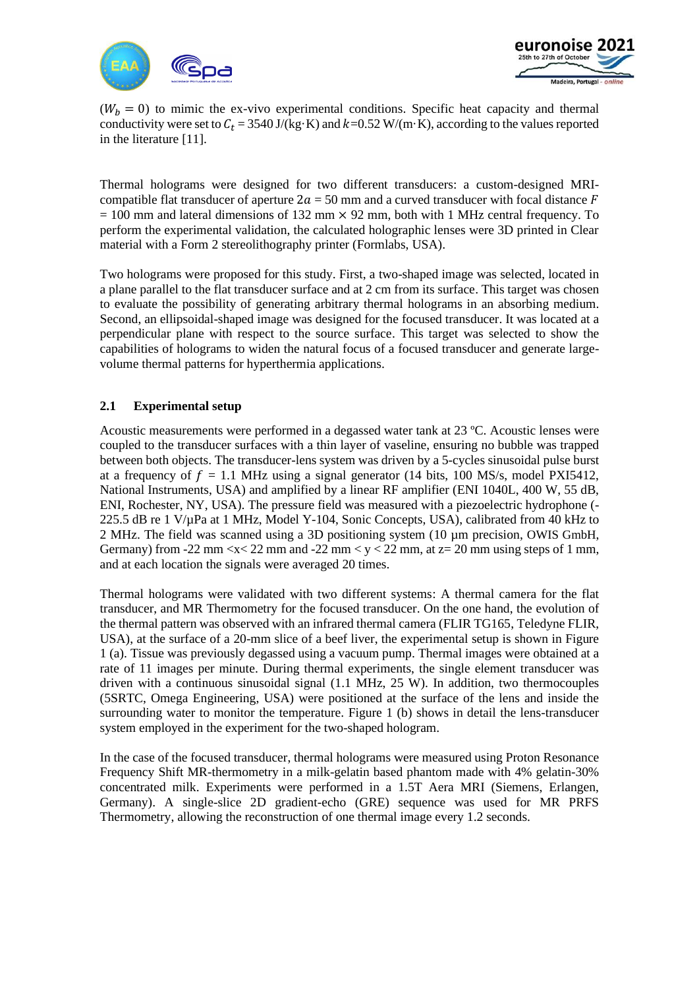



 $(W_b = 0)$  to mimic the ex-vivo experimental conditions. Specific heat capacity and thermal conductivity were set to  $C_t = 3540 \text{ J/(kg} \cdot \text{K)}$  and  $k=0.52 \text{ W/(m} \cdot \text{K)}$ , according to the values reported in the literature [11].

Thermal holograms were designed for two different transducers: a custom-designed MRIcompatible flat transducer of aperture  $2a = 50$  mm and a curved transducer with focal distance F  $= 100$  mm and lateral dimensions of 132 mm  $\times$  92 mm, both with 1 MHz central frequency. To perform the experimental validation, the calculated holographic lenses were 3D printed in Clear material with a Form 2 stereolithography printer (Formlabs, USA).

Two holograms were proposed for this study. First, a two-shaped image was selected, located in a plane parallel to the flat transducer surface and at 2 cm from its surface. This target was chosen to evaluate the possibility of generating arbitrary thermal holograms in an absorbing medium. Second, an ellipsoidal-shaped image was designed for the focused transducer. It was located at a perpendicular plane with respect to the source surface. This target was selected to show the capabilities of holograms to widen the natural focus of a focused transducer and generate largevolume thermal patterns for hyperthermia applications.

### **2.1 Experimental setup**

Acoustic measurements were performed in a degassed water tank at 23 ºC. Acoustic lenses were coupled to the transducer surfaces with a thin layer of vaseline, ensuring no bubble was trapped between both objects. The transducer-lens system was driven by a 5-cycles sinusoidal pulse burst at a frequency of  $f = 1.1$  MHz using a signal generator (14 bits, 100 MS/s, model PXI5412, National Instruments, USA) and amplified by a linear RF amplifier (ENI 1040L, 400 W, 55 dB, ENI, Rochester, NY, USA). The pressure field was measured with a piezoelectric hydrophone (- 225.5 dB re 1 V/µPa at 1 MHz, Model Y-104, Sonic Concepts, USA), calibrated from 40 kHz to 2 MHz. The field was scanned using a 3D positioning system (10 µm precision, OWIS GmbH, Germany) from -22 mm  $\langle x \rangle$  22 mm and -22 mm  $\langle y \rangle$  and  $\langle z \rangle$  mm, at  $z = 20$  mm using steps of 1 mm, and at each location the signals were averaged 20 times.

Thermal holograms were validated with two different systems: A thermal camera for the flat transducer, and MR Thermometry for the focused transducer. On the one hand, the evolution of the thermal pattern was observed with an infrared thermal camera (FLIR TG165, Teledyne FLIR, USA), at the surface of a 20-mm slice of a beef liver, the experimental setup is shown in Figure 1 (a). Tissue was previously degassed using a vacuum pump. Thermal images were obtained at a rate of 11 images per minute. During thermal experiments, the single element transducer was driven with a continuous sinusoidal signal (1.1 MHz, 25 W). In addition, two thermocouples (5SRTC, Omega Engineering, USA) were positioned at the surface of the lens and inside the surrounding water to monitor the temperature. Figure 1 (b) shows in detail the lens-transducer system employed in the experiment for the two-shaped hologram.

In the case of the focused transducer, thermal holograms were measured using Proton Resonance Frequency Shift MR-thermometry in a milk-gelatin based phantom made with 4% gelatin-30% concentrated milk. Experiments were performed in a 1.5T Aera MRI (Siemens, Erlangen, Germany). A single-slice 2D gradient-echo (GRE) sequence was used for MR PRFS Thermometry, allowing the reconstruction of one thermal image every 1.2 seconds.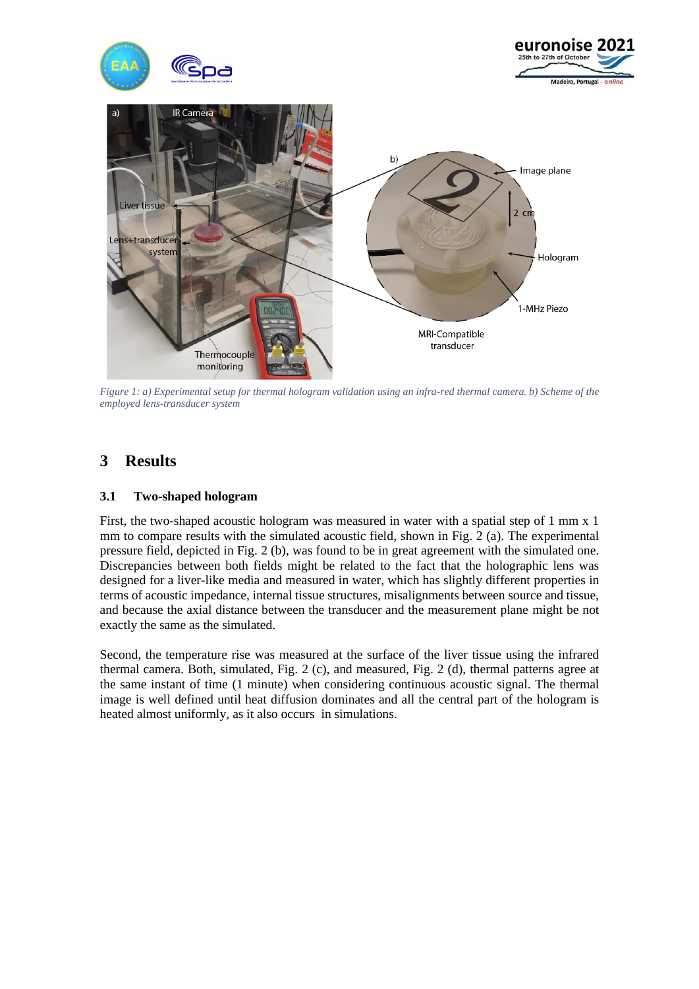

*Figure 1: a) Experimental setup for thermal hologram validation using an infra-red thermal camera. b) Scheme of the employed lens-transducer system*

## **3 Results**

#### **3.1 Two-shaped hologram**

First, the two-shaped acoustic hologram was measured in water with a spatial step of 1 mm x 1 mm to compare results with the simulated acoustic field, shown in Fig. 2 (a). The experimental pressure field, depicted in Fig. 2 (b), was found to be in great agreement with the simulated one. Discrepancies between both fields might be related to the fact that the holographic lens was designed for a liver-like media and measured in water, which has slightly different properties in terms of acoustic impedance, internal tissue structures, misalignments between source and tissue, and because the axial distance between the transducer and the measurement plane might be not exactly the same as the simulated.

Second, the temperature rise was measured at the surface of the liver tissue using the infrared thermal camera. Both, simulated, Fig. 2 (c), and measured, Fig. 2 (d), thermal patterns agree at the same instant of time (1 minute) when considering continuous acoustic signal. The thermal image is well defined until heat diffusion dominates and all the central part of the hologram is heated almost uniformly, as it also occurs in simulations.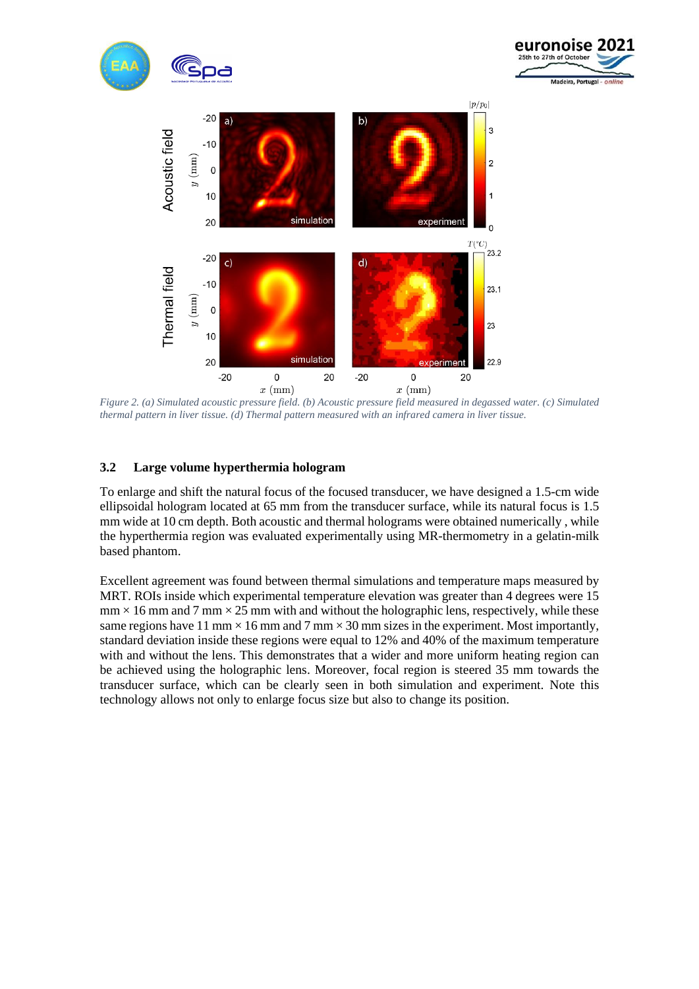





*Figure 2. (a) Simulated acoustic pressure field. (b) Acoustic pressure field measured in degassed water. (c) Simulated thermal pattern in liver tissue. (d) Thermal pattern measured with an infrared camera in liver tissue.*

### **3.2 Large volume hyperthermia hologram**

To enlarge and shift the natural focus of the focused transducer, we have designed a 1.5-cm wide ellipsoidal hologram located at 65 mm from the transducer surface, while its natural focus is 1.5 mm wide at 10 cm depth. Both acoustic and thermal holograms were obtained numerically , while the hyperthermia region was evaluated experimentally using MR-thermometry in a gelatin-milk based phantom.

Excellent agreement was found between thermal simulations and temperature maps measured by MRT. ROIs inside which experimental temperature elevation was greater than 4 degrees were 15  $mm \times 16$  mm and  $7$  mm  $\times 25$  mm with and without the holographic lens, respectively, while these same regions have 11 mm  $\times$  16 mm and 7 mm  $\times$  30 mm sizes in the experiment. Most importantly, standard deviation inside these regions were equal to 12% and 40% of the maximum temperature with and without the lens. This demonstrates that a wider and more uniform heating region can be achieved using the holographic lens. Moreover, focal region is steered 35 mm towards the transducer surface, which can be clearly seen in both simulation and experiment. Note this technology allows not only to enlarge focus size but also to change its position.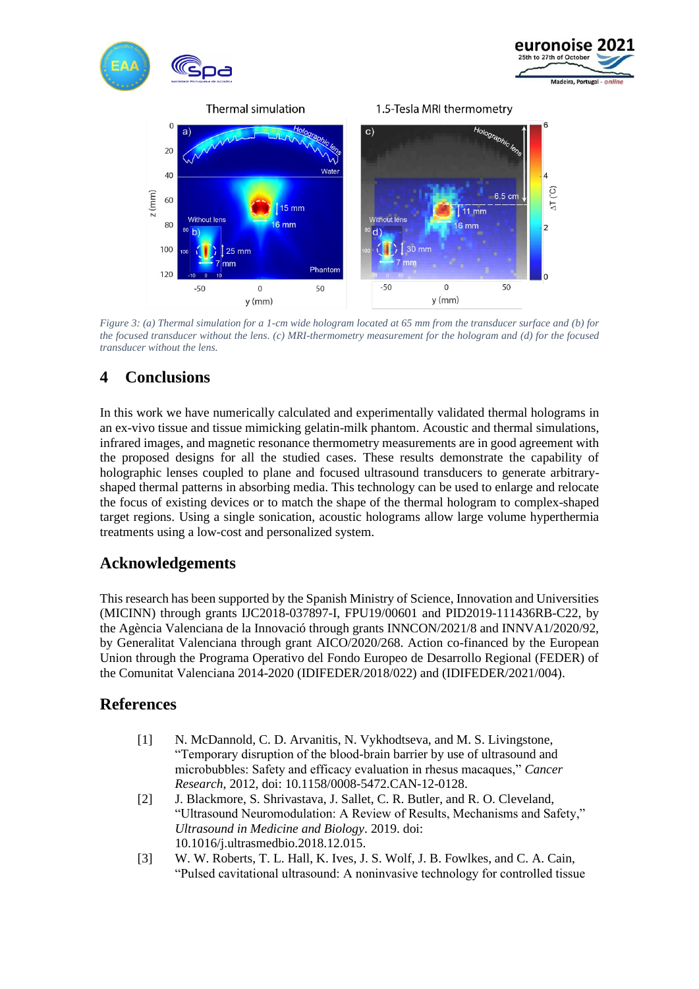

*Figure 3: (a) Thermal simulation for a 1-cm wide hologram located at 65 mm from the transducer surface and (b) for the focused transducer without the lens. (c) MRI-thermometry measurement for the hologram and (d) for the focused transducer without the lens.*

# **4 Conclusions**

In this work we have numerically calculated and experimentally validated thermal holograms in an ex-vivo tissue and tissue mimicking gelatin-milk phantom. Acoustic and thermal simulations, infrared images, and magnetic resonance thermometry measurements are in good agreement with the proposed designs for all the studied cases. These results demonstrate the capability of holographic lenses coupled to plane and focused ultrasound transducers to generate arbitraryshaped thermal patterns in absorbing media. This technology can be used to enlarge and relocate the focus of existing devices or to match the shape of the thermal hologram to complex-shaped target regions. Using a single sonication, acoustic holograms allow large volume hyperthermia treatments using a low-cost and personalized system.

## **Acknowledgements**

This research has been supported by the Spanish Ministry of Science, Innovation and Universities (MICINN) through grants IJC2018-037897-I, FPU19/00601 and PID2019-111436RB-C22, by the Agència Valenciana de la Innovació through grants INNCON/2021/8 and INNVA1/2020/92, by Generalitat Valenciana through grant AICO/2020/268. Action co-financed by the European Union through the Programa Operativo del Fondo Europeo de Desarrollo Regional (FEDER) of the Comunitat Valenciana 2014-2020 (IDIFEDER/2018/022) and (IDIFEDER/2021/004).

## **References**

- [1] N. McDannold, C. D. Arvanitis, N. Vykhodtseva, and M. S. Livingstone, "Temporary disruption of the blood-brain barrier by use of ultrasound and microbubbles: Safety and efficacy evaluation in rhesus macaques," *Cancer Research*, 2012, doi: 10.1158/0008-5472.CAN-12-0128.
- [2] J. Blackmore, S. Shrivastava, J. Sallet, C. R. Butler, and R. O. Cleveland, "Ultrasound Neuromodulation: A Review of Results, Mechanisms and Safety," *Ultrasound in Medicine and Biology*. 2019. doi: 10.1016/j.ultrasmedbio.2018.12.015.
- [3] W. W. Roberts, T. L. Hall, K. Ives, J. S. Wolf, J. B. Fowlkes, and C. A. Cain, "Pulsed cavitational ultrasound: A noninvasive technology for controlled tissue